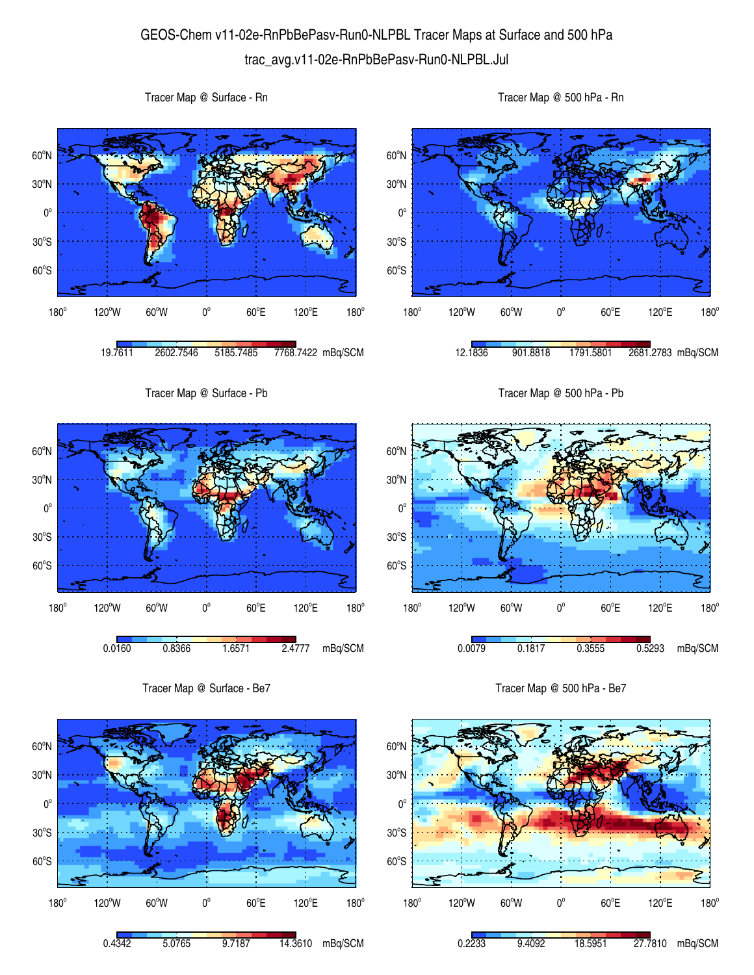## GEOS-Chem v11-02e-RnPbBePasv-Run0-NLPBL Tracer Maps at Surface and 500 hPa trac\_avg.v11-02e-RnPbBePasv-Run0-NLPBL.Jul

 $60^{\circ}$ S  $30^{\circ}$ S  $0^{\circ}$ 30<sup>°</sup>N 60<sup>°</sup>N 180° 120°W 60°W 0°  $60^{\circ}E$ 120°E  $180^\circ$ 19.7611 2602.7546 5185.7485 7768.7422 mBq/SCM  $60^{\circ}$ S  $30^{\circ}$ S  $0^{\circ}$ 30<sup>°</sup>N 60<sup>°</sup>N  $180^\circ$ 120°W 60°W 0°  $60^{\circ}$ E 120°E 12.1836 901.8818 1791.5801 2681.2783 mBq/SCM Tracer Map @ Surface - Pb 60°S  $30^{\circ}$ S  $0^{\circ}$ 30<sup>°</sup>N 60<sup>°</sup>N Tracer Map @ 500 hPa - Pb 60°S  $30^{\circ}$ S  $0^{\circ}$ 30<sup>°</sup>N 60<sup>°</sup>N

180°

180°  $120^{\circ}$ W 60 $^{\circ}$ W 0 $^{\circ}$  $60^{\circ}$ E 120°E  $180^\circ$ 0.0160 0.8366 1.6571 2.4777 mBq/SCM

Tracer Map @ Surface - Rn

Tracer Map @ Surface - Be7



Tracer Map @ 500 hPa - Be7

 $60^{\circ}$ E

0.0079 0.1817 0.3555 0.5293 mBq/SCM

120°E

 $180^\circ$ 

 $120^{\circ}$ W 60 $^{\circ}$ W 0 $^{\circ}$ 

Tracer Map @ 500 hPa - Rn

 $180^\circ$